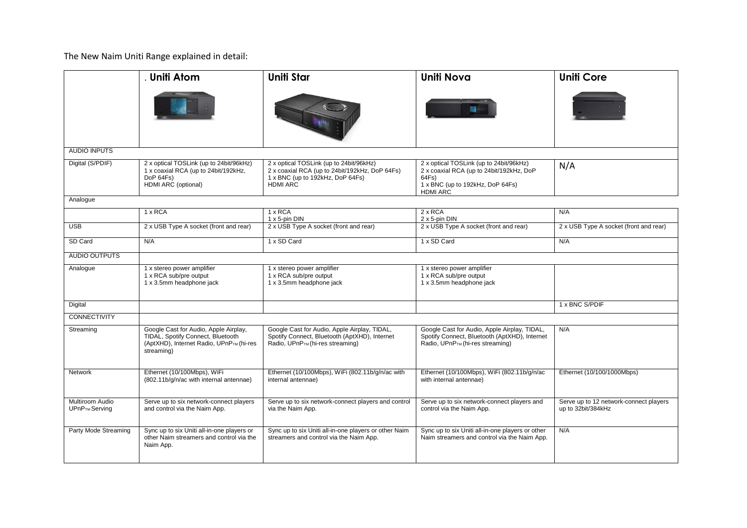The New Naim Uniti Range explained in detail:

|                                               | <b>Uniti Atom</b>                                                                                                                    | <b>Uniti Star</b>                                                                                                                                | <b>Uniti Nova</b>                                                                                                                                   | <b>Uniti Core</b>                                            |  |  |  |  |
|-----------------------------------------------|--------------------------------------------------------------------------------------------------------------------------------------|--------------------------------------------------------------------------------------------------------------------------------------------------|-----------------------------------------------------------------------------------------------------------------------------------------------------|--------------------------------------------------------------|--|--|--|--|
|                                               |                                                                                                                                      |                                                                                                                                                  |                                                                                                                                                     |                                                              |  |  |  |  |
| <b>AUDIO INPUTS</b>                           |                                                                                                                                      |                                                                                                                                                  |                                                                                                                                                     |                                                              |  |  |  |  |
| Digital (S/PDIF)                              | 2 x optical TOSLink (up to 24bit/96kHz)<br>1 x coaxial RCA (up to 24bit/192kHz,<br>DoP 64Fs)<br>HDMI ARC (optional)                  | 2 x optical TOSLink (up to 24bit/96kHz)<br>2 x coaxial RCA (up to 24bit/192kHz, DoP 64Fs)<br>1 x BNC (up to 192kHz, DoP 64Fs)<br><b>HDMI ARC</b> | 2 x optical TOSLink (up to 24bit/96kHz)<br>2 x coaxial RCA (up to 24bit/192kHz, DoP<br>64Fs)<br>1 x BNC (up to 192kHz, DoP 64Fs)<br><b>HDMI ARC</b> | N/A                                                          |  |  |  |  |
| Analogue                                      |                                                                                                                                      |                                                                                                                                                  |                                                                                                                                                     |                                                              |  |  |  |  |
|                                               | $1 \times RCA$                                                                                                                       | 1 x RCA<br>1 x 5-pin DIN                                                                                                                         | $2 \times RCA$<br>2 x 5-pin DIN                                                                                                                     | N/A                                                          |  |  |  |  |
| <b>USB</b>                                    | 2 x USB Type A socket (front and rear)                                                                                               | 2 x USB Type A socket (front and rear)                                                                                                           | 2 x USB Type A socket (front and rear)                                                                                                              | 2 x USB Type A socket (front and rear)                       |  |  |  |  |
| SD Card                                       | N/A                                                                                                                                  | 1 x SD Card                                                                                                                                      | 1 x SD Card                                                                                                                                         | N/A                                                          |  |  |  |  |
| <b>AUDIO OUTPUTS</b>                          |                                                                                                                                      |                                                                                                                                                  |                                                                                                                                                     |                                                              |  |  |  |  |
| Analogue                                      | 1 x stereo power amplifier<br>1 x RCA sub/pre output<br>1 x 3.5mm headphone jack                                                     | 1 x stereo power amplifier<br>1 x RCA sub/pre output<br>1 x 3.5mm headphone jack                                                                 | 1 x stereo power amplifier<br>1 x RCA sub/pre output<br>1 x 3.5mm headphone jack                                                                    |                                                              |  |  |  |  |
| Digital                                       |                                                                                                                                      |                                                                                                                                                  |                                                                                                                                                     | 1 x BNC S/PDIF                                               |  |  |  |  |
| <b>CONNECTIVITY</b>                           |                                                                                                                                      |                                                                                                                                                  |                                                                                                                                                     |                                                              |  |  |  |  |
| Streaming                                     | Google Cast for Audio, Apple Airplay,<br>TIDAL, Spotify Connect, Bluetooth<br>(AptXHD), Internet Radio, UPnPTM (hi-res<br>streaming) | Google Cast for Audio, Apple Airplay, TIDAL,<br>Spotify Connect, Bluetooth (AptXHD), Internet<br>Radio, UPnPTM (hi-res streaming)                | Google Cast for Audio, Apple Airplay, TIDAL,<br>Spotify Connect, Bluetooth (AptXHD), Internet<br>Radio, UPnPTM (hi-res streaming)                   | N/A                                                          |  |  |  |  |
| Network                                       | Ethernet (10/100Mbps), WiFi<br>(802.11b/g/n/ac with internal antennae)                                                               | Ethernet (10/100Mbps), WiFi (802.11b/g/n/ac with<br>internal antennae)                                                                           | Ethernet (10/100Mbps), WiFi (802.11b/g/n/ac<br>with internal antennae)                                                                              | Ethernet (10/100/1000Mbps)                                   |  |  |  |  |
| Multiroom Audio<br>UPnP <sub>TM</sub> Serving | Serve up to six network-connect players<br>and control via the Naim App.                                                             | Serve up to six network-connect players and control<br>via the Naim App.                                                                         | Serve up to six network-connect players and<br>control via the Naim App.                                                                            | Serve up to 12 network-connect players<br>up to 32bit/384kHz |  |  |  |  |
| Party Mode Streaming                          | Sync up to six Uniti all-in-one players or<br>other Naim streamers and control via the<br>Naim App.                                  | Sync up to six Uniti all-in-one players or other Naim<br>streamers and control via the Naim App.                                                 | Sync up to six Uniti all-in-one players or other<br>Naim streamers and control via the Naim App.                                                    | N/A                                                          |  |  |  |  |